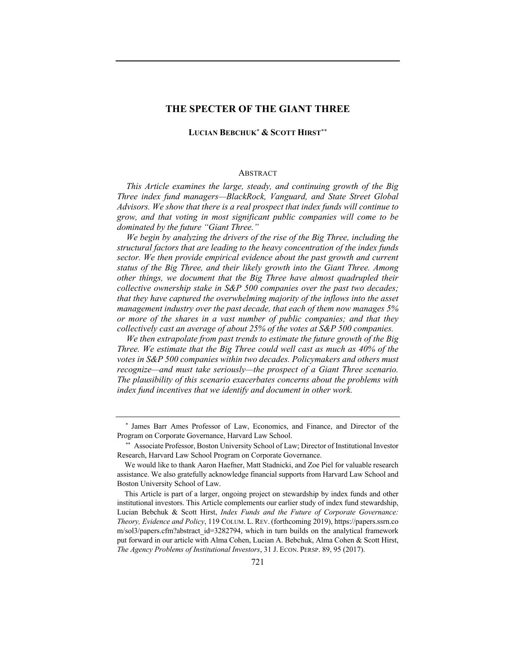## **THE SPECTER OF THE GIANT THREE**

### **LUCIAN BEBCHUK**\* **& SCOTT HIRST**\*\*

#### **ABSTRACT**

*This Article examines the large, steady, and continuing growth of the Big Three index fund managers—BlackRock, Vanguard, and State Street Global Advisors. We show that there is a real prospect that index funds will continue to grow, and that voting in most significant public companies will come to be dominated by the future "Giant Three."*

*We begin by analyzing the drivers of the rise of the Big Three, including the structural factors that are leading to the heavy concentration of the index funds sector. We then provide empirical evidence about the past growth and current status of the Big Three, and their likely growth into the Giant Three. Among other things, we document that the Big Three have almost quadrupled their collective ownership stake in S&P 500 companies over the past two decades; that they have captured the overwhelming majority of the inflows into the asset management industry over the past decade, that each of them now manages 5% or more of the shares in a vast number of public companies; and that they collectively cast an average of about 25% of the votes at S&P 500 companies.*

*We then extrapolate from past trends to estimate the future growth of the Big Three. We estimate that the Big Three could well cast as much as 40% of the votes in S&P 500 companies within two decades. Policymakers and others must recognize—and must take seriously—the prospect of a Giant Three scenario. The plausibility of this scenario exacerbates concerns about the problems with index fund incentives that we identify and document in other work.*

<sup>\*</sup> James Barr Ames Professor of Law, Economics, and Finance, and Director of the Program on Corporate Governance, Harvard Law School.

Associate Professor, Boston University School of Law; Director of Institutional Investor Research, Harvard Law School Program on Corporate Governance.

We would like to thank Aaron Haefner, Matt Stadnicki, and Zoe Piel for valuable research assistance. We also gratefully acknowledge financial supports from Harvard Law School and Boston University School of Law.

This Article is part of a larger, ongoing project on stewardship by index funds and other institutional investors. This Article complements our earlier study of index fund stewardship, Lucian Bebchuk & Scott Hirst, *Index Funds and the Future of Corporate Governance: Theory, Evidence and Policy*, 119 COLUM. L. REV. (forthcoming 2019), https://papers.ssrn.co m/sol3/papers.cfm?abstract id=3282794, which in turn builds on the analytical framework put forward in our article with Alma Cohen, Lucian A. Bebchuk, Alma Cohen & Scott Hirst, *The Agency Problems of Institutional Investors*, 31 J. ECON. PERSP. 89, 95 (2017).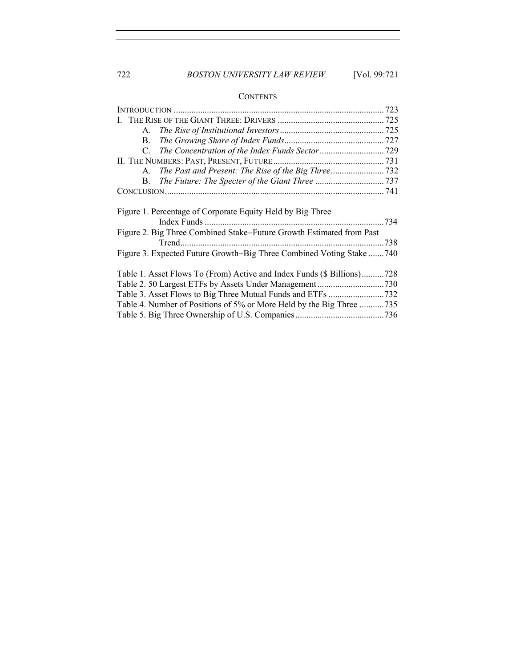# 722 *BOSTON UNIVERSITY LAW REVIEW* [Vol. 99:721

# **CONTENTS**

| <b>B.</b>                                                                                                                          |  |
|------------------------------------------------------------------------------------------------------------------------------------|--|
| C.                                                                                                                                 |  |
|                                                                                                                                    |  |
| A.                                                                                                                                 |  |
|                                                                                                                                    |  |
|                                                                                                                                    |  |
| Figure 1. Percentage of Corporate Equity Held by Big Three<br>Figure 2. Big Three Combined Stake-Future Growth Estimated from Past |  |
|                                                                                                                                    |  |
| Figure 3. Expected Future Growth-Big Three Combined Voting Stake 740                                                               |  |
| Table 1. Asset Flows To (From) Active and Index Funds (\$ Billions)728                                                             |  |
|                                                                                                                                    |  |
|                                                                                                                                    |  |
| Table 4. Number of Positions of 5% or More Held by the Big Three 735                                                               |  |
|                                                                                                                                    |  |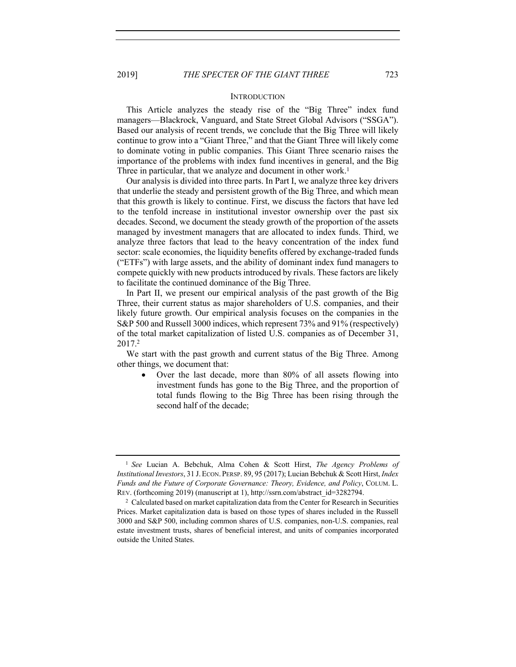### **INTRODUCTION**

This Article analyzes the steady rise of the "Big Three" index fund managers—Blackrock, Vanguard, and State Street Global Advisors ("SSGA"). Based our analysis of recent trends, we conclude that the Big Three will likely continue to grow into a "Giant Three," and that the Giant Three will likely come to dominate voting in public companies. This Giant Three scenario raises the importance of the problems with index fund incentives in general, and the Big Three in particular, that we analyze and document in other work.<sup>1</sup>

Our analysis is divided into three parts. In Part I, we analyze three key drivers that underlie the steady and persistent growth of the Big Three, and which mean that this growth is likely to continue. First, we discuss the factors that have led to the tenfold increase in institutional investor ownership over the past six decades. Second, we document the steady growth of the proportion of the assets managed by investment managers that are allocated to index funds. Third, we analyze three factors that lead to the heavy concentration of the index fund sector: scale economies, the liquidity benefits offered by exchange-traded funds ("ETFs") with large assets, and the ability of dominant index fund managers to compete quickly with new products introduced by rivals. These factors are likely to facilitate the continued dominance of the Big Three.

In Part II, we present our empirical analysis of the past growth of the Big Three, their current status as major shareholders of U.S. companies, and their likely future growth. Our empirical analysis focuses on the companies in the S&P 500 and Russell 3000 indices, which represent 73% and 91% (respectively) of the total market capitalization of listed U.S. companies as of December 31, 2017.2

We start with the past growth and current status of the Big Three. Among other things, we document that:

• Over the last decade, more than 80% of all assets flowing into investment funds has gone to the Big Three, and the proportion of total funds flowing to the Big Three has been rising through the second half of the decade;

<sup>1</sup> *See* Lucian A. Bebchuk, Alma Cohen & Scott Hirst, *The Agency Problems of Institutional Investors*, 31 J.ECON. PERSP. 89, 95 (2017); Lucian Bebchuk & Scott Hirst, *Index Funds and the Future of Corporate Governance: Theory, Evidence, and Policy*, COLUM. L. REV. (forthcoming 2019) (manuscript at 1), http://ssrn.com/abstract\_id=3282794.

<sup>2</sup> Calculated based on market capitalization data from the Center for Research in Securities Prices. Market capitalization data is based on those types of shares included in the Russell 3000 and S&P 500, including common shares of U.S. companies, non-U.S. companies, real estate investment trusts, shares of beneficial interest, and units of companies incorporated outside the United States.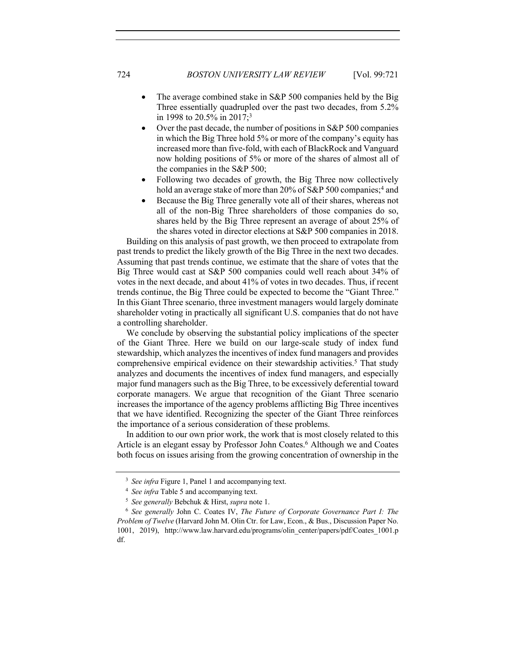- The average combined stake in S&P 500 companies held by the Big Three essentially quadrupled over the past two decades, from 5.2% in 1998 to 20.5% in 2017;3
- Over the past decade, the number of positions in S&P 500 companies in which the Big Three hold 5% or more of the company's equity has increased more than five-fold, with each of BlackRock and Vanguard now holding positions of 5% or more of the shares of almost all of the companies in the S&P 500;
- Following two decades of growth, the Big Three now collectively hold an average stake of more than 20% of S&P 500 companies;<sup>4</sup> and
- Because the Big Three generally vote all of their shares, whereas not all of the non-Big Three shareholders of those companies do so, shares held by the Big Three represent an average of about 25% of the shares voted in director elections at S&P 500 companies in 2018.

Building on this analysis of past growth, we then proceed to extrapolate from past trends to predict the likely growth of the Big Three in the next two decades. Assuming that past trends continue, we estimate that the share of votes that the Big Three would cast at S&P 500 companies could well reach about 34% of votes in the next decade, and about 41% of votes in two decades. Thus, if recent trends continue, the Big Three could be expected to become the "Giant Three." In this Giant Three scenario, three investment managers would largely dominate shareholder voting in practically all significant U.S. companies that do not have a controlling shareholder.

We conclude by observing the substantial policy implications of the specter of the Giant Three. Here we build on our large-scale study of index fund stewardship, which analyzes the incentives of index fund managers and provides comprehensive empirical evidence on their stewardship activities.<sup>5</sup> That study analyzes and documents the incentives of index fund managers, and especially major fund managers such as the Big Three, to be excessively deferential toward corporate managers. We argue that recognition of the Giant Three scenario increases the importance of the agency problems afflicting Big Three incentives that we have identified. Recognizing the specter of the Giant Three reinforces the importance of a serious consideration of these problems.

In addition to our own prior work, the work that is most closely related to this Article is an elegant essay by Professor John Coates.<sup>6</sup> Although we and Coates both focus on issues arising from the growing concentration of ownership in the

<sup>&</sup>lt;sup>3</sup> *See infra* Figure 1, Panel 1 and accompanying text.

<sup>4</sup> *See infra* Table 5 and accompanying text.

<sup>5</sup> *See generally* Bebchuk & Hirst, *supra* note 1.

<sup>6</sup> *See generally* John C. Coates IV, *The Future of Corporate Governance Part I: The Problem of Twelve* (Harvard John M. Olin Ctr. for Law, Econ., & Bus., Discussion Paper No. 1001, 2019), http://www.law.harvard.edu/programs/olin\_center/papers/pdf/Coates\_1001.p df.